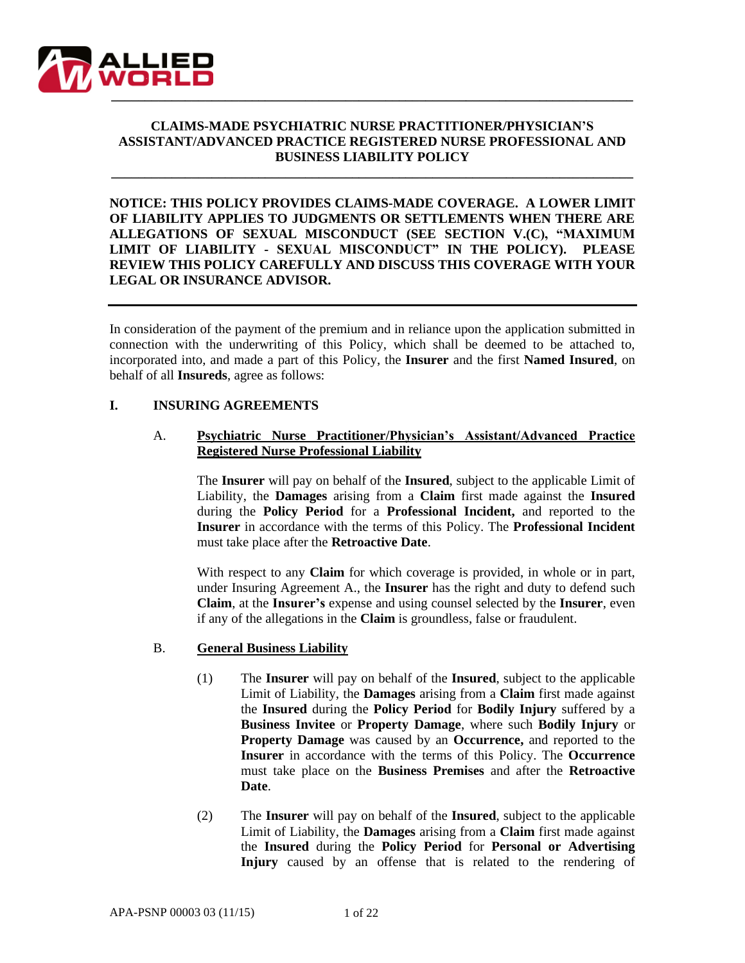

## **CLAIMS-MADE PSYCHIATRIC NURSE PRACTITIONER/PHYSICIAN'S ASSISTANT/ADVANCED PRACTICE REGISTERED NURSE PROFESSIONAL AND BUSINESS LIABILITY POLICY**

**\_\_\_\_\_\_\_\_\_\_\_\_\_\_\_\_\_\_\_\_\_\_\_\_\_\_\_\_\_\_\_\_\_\_\_\_\_\_\_\_\_\_\_\_\_\_\_\_\_\_\_\_\_\_\_\_\_\_\_\_\_\_\_\_\_\_\_\_\_\_\_\_\_\_\_\_\_\_**

**NOTICE: THIS POLICY PROVIDES CLAIMS-MADE COVERAGE. A LOWER LIMIT OF LIABILITY APPLIES TO JUDGMENTS OR SETTLEMENTS WHEN THERE ARE ALLEGATIONS OF SEXUAL MISCONDUCT (SEE SECTION V.(C), "MAXIMUM LIMIT OF LIABILITY - SEXUAL MISCONDUCT" IN THE POLICY). PLEASE REVIEW THIS POLICY CAREFULLY AND DISCUSS THIS COVERAGE WITH YOUR LEGAL OR INSURANCE ADVISOR.**

In consideration of the payment of the premium and in reliance upon the application submitted in connection with the underwriting of this Policy, which shall be deemed to be attached to, incorporated into, and made a part of this Policy, the **Insurer** and the first **Named Insured**, on behalf of all **Insureds**, agree as follows:

#### **I. INSURING AGREEMENTS**

## A. **Psychiatric Nurse Practitioner/Physician's Assistant/Advanced Practice Registered Nurse Professional Liability**

The **Insurer** will pay on behalf of the **Insured**, subject to the applicable Limit of Liability, the **Damages** arising from a **Claim** first made against the **Insured** during the **Policy Period** for a **Professional Incident,** and reported to the **Insurer** in accordance with the terms of this Policy. The **Professional Incident** must take place after the **Retroactive Date**.

With respect to any **Claim** for which coverage is provided, in whole or in part, under Insuring Agreement A., the **Insurer** has the right and duty to defend such **Claim**, at the **Insurer's** expense and using counsel selected by the **Insurer**, even if any of the allegations in the **Claim** is groundless, false or fraudulent.

## B. **General Business Liability**

- (1) The **Insurer** will pay on behalf of the **Insured**, subject to the applicable Limit of Liability, the **Damages** arising from a **Claim** first made against the **Insured** during the **Policy Period** for **Bodily Injury** suffered by a **Business Invitee** or **Property Damage**, where such **Bodily Injury** or **Property Damage** was caused by an **Occurrence,** and reported to the **Insurer** in accordance with the terms of this Policy. The **Occurrence** must take place on the **Business Premises** and after the **Retroactive Date**.
- (2) The **Insurer** will pay on behalf of the **Insured**, subject to the applicable Limit of Liability, the **Damages** arising from a **Claim** first made against the **Insured** during the **Policy Period** for **Personal or Advertising Injury** caused by an offense that is related to the rendering of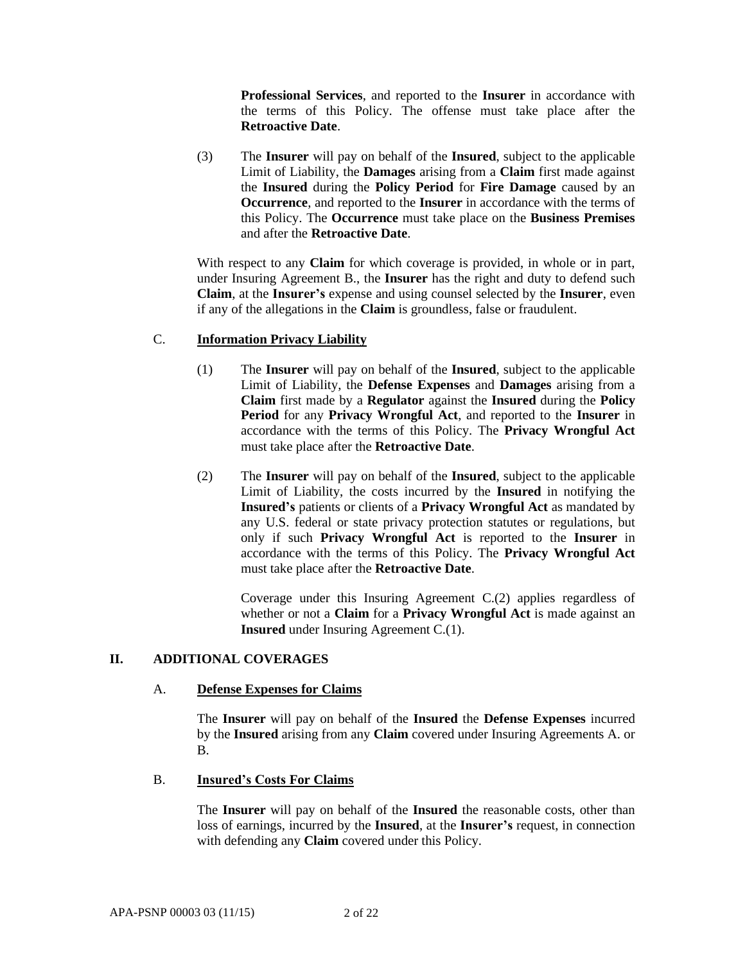**Professional Services**, and reported to the **Insurer** in accordance with the terms of this Policy. The offense must take place after the **Retroactive Date**.

(3) The **Insurer** will pay on behalf of the **Insured**, subject to the applicable Limit of Liability, the **Damages** arising from a **Claim** first made against the **Insured** during the **Policy Period** for **Fire Damage** caused by an **Occurrence**, and reported to the **Insurer** in accordance with the terms of this Policy. The **Occurrence** must take place on the **Business Premises** and after the **Retroactive Date**.

With respect to any **Claim** for which coverage is provided, in whole or in part, under Insuring Agreement B., the **Insurer** has the right and duty to defend such **Claim**, at the **Insurer's** expense and using counsel selected by the **Insurer**, even if any of the allegations in the **Claim** is groundless, false or fraudulent.

## C. **Information Privacy Liability**

- (1) The **Insurer** will pay on behalf of the **Insured**, subject to the applicable Limit of Liability, the **Defense Expenses** and **Damages** arising from a **Claim** first made by a **Regulator** against the **Insured** during the **Policy Period** for any **Privacy Wrongful Act**, and reported to the **Insurer** in accordance with the terms of this Policy. The **Privacy Wrongful Act**  must take place after the **Retroactive Date**.
- (2) The **Insurer** will pay on behalf of the **Insured**, subject to the applicable Limit of Liability, the costs incurred by the **Insured** in notifying the **Insured's** patients or clients of a **Privacy Wrongful Act** as mandated by any U.S. federal or state privacy protection statutes or regulations, but only if such **Privacy Wrongful Act** is reported to the **Insurer** in accordance with the terms of this Policy. The **Privacy Wrongful Act**  must take place after the **Retroactive Date**.

Coverage under this Insuring Agreement C.(2) applies regardless of whether or not a **Claim** for a **Privacy Wrongful Act** is made against an **Insured** under Insuring Agreement C.(1).

# **II. ADDITIONAL COVERAGES**

## A. **Defense Expenses for Claims**

The **Insurer** will pay on behalf of the **Insured** the **Defense Expenses** incurred by the **Insured** arising from any **Claim** covered under Insuring Agreements A. or B.

## B. **Insured's Costs For Claims**

The **Insurer** will pay on behalf of the **Insured** the reasonable costs, other than loss of earnings, incurred by the **Insured**, at the **Insurer's** request, in connection with defending any **Claim** covered under this Policy.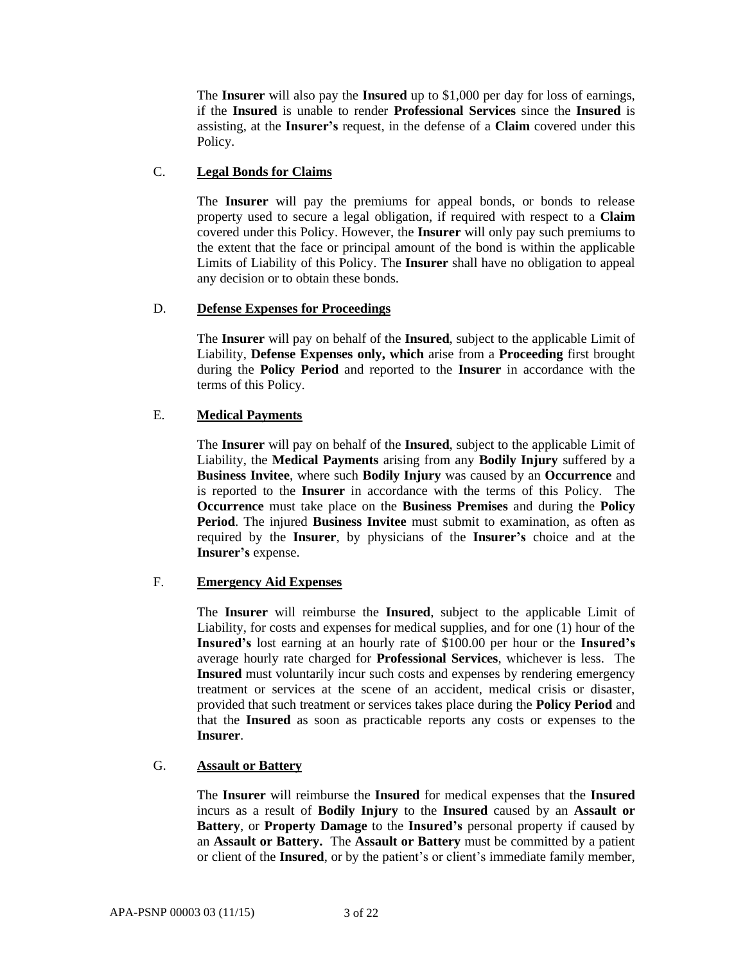The **Insurer** will also pay the **Insured** up to \$1,000 per day for loss of earnings, if the **Insured** is unable to render **Professional Services** since the **Insured** is assisting, at the **Insurer's** request, in the defense of a **Claim** covered under this Policy.

## C. **Legal Bonds for Claims**

The **Insurer** will pay the premiums for appeal bonds, or bonds to release property used to secure a legal obligation, if required with respect to a **Claim** covered under this Policy. However, the **Insurer** will only pay such premiums to the extent that the face or principal amount of the bond is within the applicable Limits of Liability of this Policy. The **Insurer** shall have no obligation to appeal any decision or to obtain these bonds.

## D. **Defense Expenses for Proceedings**

The **Insurer** will pay on behalf of the **Insured**, subject to the applicable Limit of Liability, **Defense Expenses only, which** arise from a **Proceeding** first brought during the **Policy Period** and reported to the **Insurer** in accordance with the terms of this Policy.

# E. **Medical Payments**

The **Insurer** will pay on behalf of the **Insured**, subject to the applicable Limit of Liability, the **Medical Payments** arising from any **Bodily Injury** suffered by a **Business Invitee**, where such **Bodily Injury** was caused by an **Occurrence** and is reported to the **Insurer** in accordance with the terms of this Policy. The **Occurrence** must take place on the **Business Premises** and during the **Policy Period**. The injured **Business Invitee** must submit to examination, as often as required by the **Insurer**, by physicians of the **Insurer's** choice and at the **Insurer's** expense.

## F. **Emergency Aid Expenses**

The **Insurer** will reimburse the **Insured**, subject to the applicable Limit of Liability, for costs and expenses for medical supplies, and for one (1) hour of the **Insured's** lost earning at an hourly rate of \$100.00 per hour or the **Insured's**  average hourly rate charged for **Professional Services**, whichever is less. The **Insured** must voluntarily incur such costs and expenses by rendering emergency treatment or services at the scene of an accident, medical crisis or disaster, provided that such treatment or services takes place during the **Policy Period** and that the **Insured** as soon as practicable reports any costs or expenses to the **Insurer**.

## G. **Assault or Battery**

The **Insurer** will reimburse the **Insured** for medical expenses that the **Insured** incurs as a result of **Bodily Injury** to the **Insured** caused by an **Assault or Battery**, or **Property Damage** to the **Insured's** personal property if caused by an **Assault or Battery.** The **Assault or Battery** must be committed by a patient or client of the **Insured**, or by the patient's or client's immediate family member,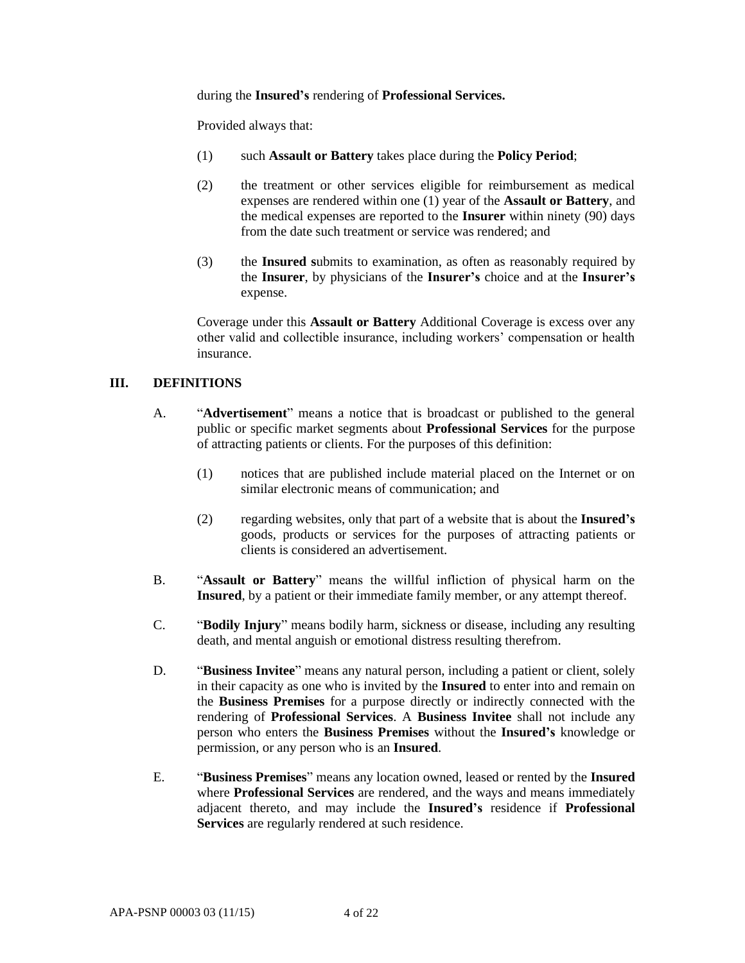during the **Insured's** rendering of **Professional Services.**

Provided always that:

- (1) such **Assault or Battery** takes place during the **Policy Period**;
- (2) the treatment or other services eligible for reimbursement as medical expenses are rendered within one (1) year of the **Assault or Battery**, and the medical expenses are reported to the **Insurer** within ninety (90) days from the date such treatment or service was rendered; and
- (3) the **Insured s**ubmits to examination, as often as reasonably required by the **Insurer**, by physicians of the **Insurer's** choice and at the **Insurer's** expense.

Coverage under this **Assault or Battery** Additional Coverage is excess over any other valid and collectible insurance, including workers' compensation or health insurance.

## **III. DEFINITIONS**

- A. "**Advertisement**" means a notice that is broadcast or published to the general public or specific market segments about **Professional Services** for the purpose of attracting patients or clients. For the purposes of this definition:
	- (1) notices that are published include material placed on the Internet or on similar electronic means of communication; and
	- (2) regarding websites, only that part of a website that is about the **Insured's** goods, products or services for the purposes of attracting patients or clients is considered an advertisement.
- B. "**Assault or Battery**" means the willful infliction of physical harm on the **Insured**, by a patient or their immediate family member, or any attempt thereof.
- C. "**Bodily Injury**" means bodily harm, sickness or disease, including any resulting death, and mental anguish or emotional distress resulting therefrom.
- D. "**Business Invitee**" means any natural person, including a patient or client, solely in their capacity as one who is invited by the **Insured** to enter into and remain on the **Business Premises** for a purpose directly or indirectly connected with the rendering of **Professional Services**. A **Business Invitee** shall not include any person who enters the **Business Premises** without the **Insured's** knowledge or permission, or any person who is an **Insured**.
- E. "**Business Premises**" means any location owned, leased or rented by the **Insured**  where **Professional Services** are rendered, and the ways and means immediately adjacent thereto, and may include the **Insured's** residence if **Professional Services** are regularly rendered at such residence.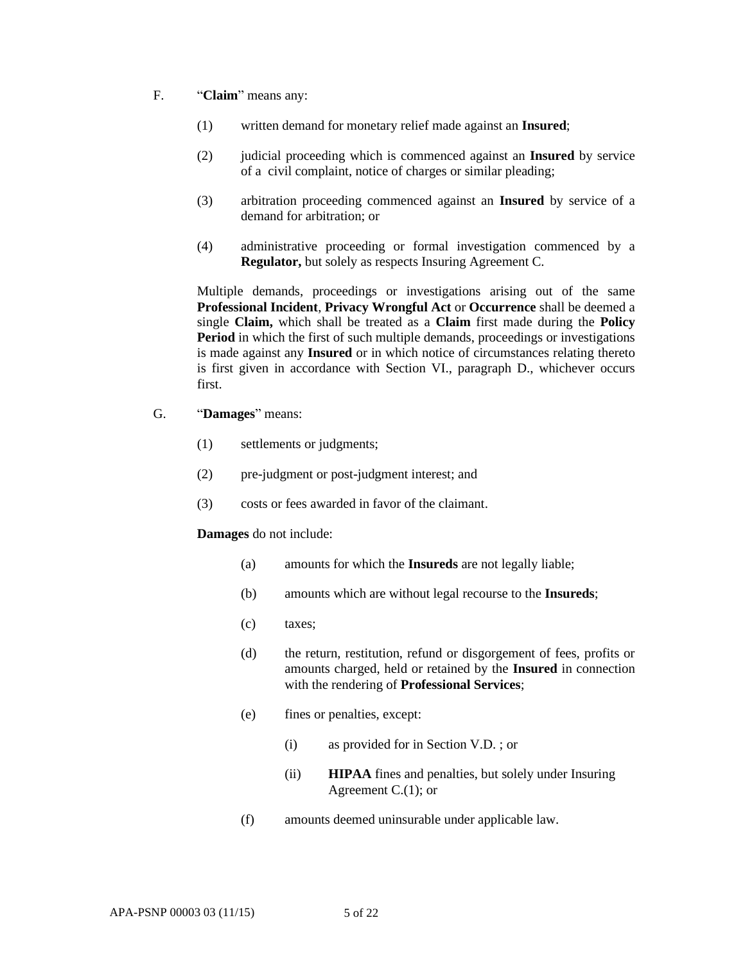- F. "**Claim**" means any:
	- (1) written demand for monetary relief made against an **Insured**;
	- (2) judicial proceeding which is commenced against an **Insured** by service of a civil complaint, notice of charges or similar pleading;
	- (3) arbitration proceeding commenced against an **Insured** by service of a demand for arbitration; or
	- (4) administrative proceeding or formal investigation commenced by a **Regulator,** but solely as respects Insuring Agreement C.

Multiple demands, proceedings or investigations arising out of the same **Professional Incident**, **Privacy Wrongful Act** or **Occurrence** shall be deemed a single **Claim,** which shall be treated as a **Claim** first made during the **Policy Period** in which the first of such multiple demands, proceedings or investigations is made against any **Insured** or in which notice of circumstances relating thereto is first given in accordance with Section VI., paragraph D., whichever occurs first.

- G. "**Damages**" means:
	- (1) settlements or judgments;
	- (2) pre-judgment or post-judgment interest; and
	- (3) costs or fees awarded in favor of the claimant.

#### **Damages** do not include:

- (a) amounts for which the **Insureds** are not legally liable;
- (b) amounts which are without legal recourse to the **Insureds**;
- (c) taxes;
- (d) the return, restitution, refund or disgorgement of fees, profits or amounts charged, held or retained by the **Insured** in connection with the rendering of **Professional Services**;
- (e) fines or penalties, except:
	- (i) as provided for in Section V.D. ; or
	- (ii) **HIPAA** fines and penalties, but solely under Insuring Agreement C.(1); or
- (f) amounts deemed uninsurable under applicable law.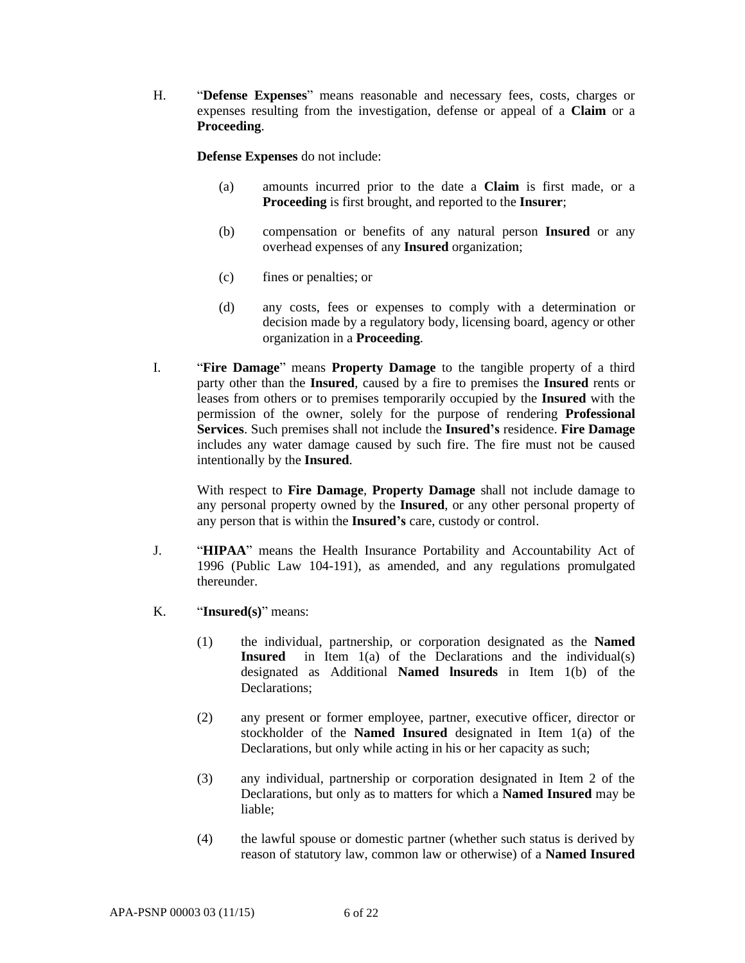H. "**Defense Expenses**" means reasonable and necessary fees, costs, charges or expenses resulting from the investigation, defense or appeal of a **Claim** or a **Proceeding**.

**Defense Expenses** do not include:

- (a) amounts incurred prior to the date a **Claim** is first made, or a **Proceeding** is first brought, and reported to the **Insurer**;
- (b) compensation or benefits of any natural person **Insured** or any overhead expenses of any **Insured** organization;
- (c) fines or penalties; or
- (d) any costs, fees or expenses to comply with a determination or decision made by a regulatory body, licensing board, agency or other organization in a **Proceeding**.
- I. "**Fire Damage**" means **Property Damage** to the tangible property of a third party other than the **Insured**, caused by a fire to premises the **Insured** rents or leases from others or to premises temporarily occupied by the **Insured** with the permission of the owner, solely for the purpose of rendering **Professional Services**. Such premises shall not include the **Insured's** residence. **Fire Damage** includes any water damage caused by such fire. The fire must not be caused intentionally by the **Insured**.

With respect to **Fire Damage**, **Property Damage** shall not include damage to any personal property owned by the **Insured**, or any other personal property of any person that is within the **Insured's** care, custody or control.

- J. "**HIPAA**" means the Health Insurance Portability and Accountability Act of 1996 (Public Law 104-191), as amended, and any regulations promulgated thereunder.
- K. "**Insured(s)**" means:
	- (1) the individual, partnership, or corporation designated as the **Named Insured** in Item 1(a) of the Declarations and the individual(s) designated as Additional **Named lnsureds** in Item 1(b) of the Declarations;
	- (2) any present or former employee, partner, executive officer, director or stockholder of the **Named Insured** designated in Item 1(a) of the Declarations, but only while acting in his or her capacity as such;
	- (3) any individual, partnership or corporation designated in Item 2 of the Declarations, but only as to matters for which a **Named Insured** may be liable;
	- (4) the lawful spouse or domestic partner (whether such status is derived by reason of statutory law, common law or otherwise) of a **Named Insured**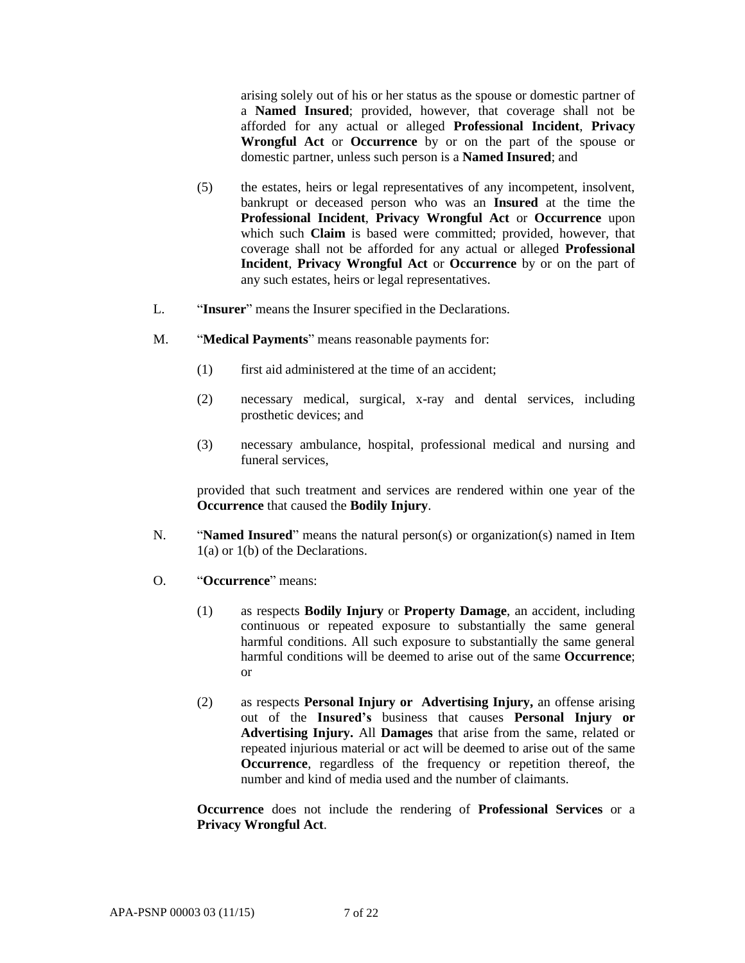arising solely out of his or her status as the spouse or domestic partner of a **Named Insured**; provided, however, that coverage shall not be afforded for any actual or alleged **Professional Incident**, **Privacy Wrongful Act** or **Occurrence** by or on the part of the spouse or domestic partner, unless such person is a **Named Insured**; and

- (5) the estates, heirs or legal representatives of any incompetent, insolvent, bankrupt or deceased person who was an **Insured** at the time the **Professional Incident**, **Privacy Wrongful Act** or **Occurrence** upon which such **Claim** is based were committed; provided, however, that coverage shall not be afforded for any actual or alleged **Professional Incident**, **Privacy Wrongful Act** or **Occurrence** by or on the part of any such estates, heirs or legal representatives.
- L. "**Insurer**" means the Insurer specified in the Declarations.
- M. "**Medical Payments**" means reasonable payments for:
	- (1) first aid administered at the time of an accident;
	- (2) necessary medical, surgical, x-ray and dental services, including prosthetic devices; and
	- (3) necessary ambulance, hospital, professional medical and nursing and funeral services,

provided that such treatment and services are rendered within one year of the **Occurrence** that caused the **Bodily Injury**.

- N. "**Named Insured**" means the natural person(s) or organization(s) named in Item 1(a) or 1(b) of the Declarations.
- O. "**Occurrence**" means:
	- (1) as respects **Bodily Injury** or **Property Damage**, an accident, including continuous or repeated exposure to substantially the same general harmful conditions. All such exposure to substantially the same general harmful conditions will be deemed to arise out of the same **Occurrence**; or
	- (2) as respects **Personal Injury or Advertising Injury,** an offense arising out of the **Insured's** business that causes **Personal Injury or Advertising Injury.** All **Damages** that arise from the same, related or repeated injurious material or act will be deemed to arise out of the same **Occurrence**, regardless of the frequency or repetition thereof, the number and kind of media used and the number of claimants.

**Occurrence** does not include the rendering of **Professional Services** or a **Privacy Wrongful Act**.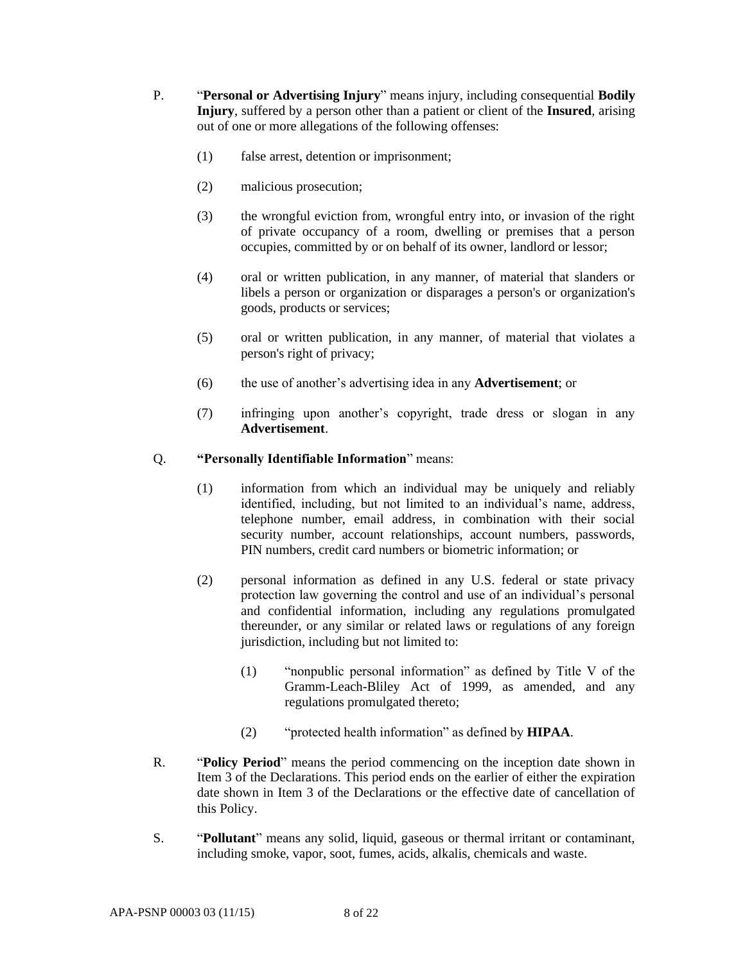- P. "**Personal or Advertising Injury**" means injury, including consequential **Bodily Injury**, suffered by a person other than a patient or client of the **Insured**, arising out of one or more allegations of the following offenses:
	- (1) false arrest, detention or imprisonment;
	- (2) malicious prosecution;
	- (3) the wrongful eviction from, wrongful entry into, or invasion of the right of private occupancy of a room, dwelling or premises that a person occupies, committed by or on behalf of its owner, landlord or lessor;
	- (4) oral or written publication, in any manner, of material that slanders or libels a person or organization or disparages a person's or organization's goods, products or services;
	- (5) oral or written publication, in any manner, of material that violates a person's right of privacy;
	- (6) the use of another's advertising idea in any **Advertisement**; or
	- (7) infringing upon another's copyright, trade dress or slogan in any **Advertisement**.

## Q. **"Personally Identifiable Information**" means:

- (1) information from which an individual may be uniquely and reliably identified, including, but not limited to an individual's name, address, telephone number, email address, in combination with their social security number, account relationships, account numbers, passwords, PIN numbers, credit card numbers or biometric information; or
- (2) personal information as defined in any U.S. federal or state privacy protection law governing the control and use of an individual's personal and confidential information, including any regulations promulgated thereunder, or any similar or related laws or regulations of any foreign jurisdiction, including but not limited to:
	- (1) "nonpublic personal information" as defined by Title V of the Gramm-Leach-Bliley Act of 1999, as amended, and any regulations promulgated thereto;
	- (2) "protected health information" as defined by **HIPAA**.
- R. "**Policy Period**" means the period commencing on the inception date shown in Item 3 of the Declarations. This period ends on the earlier of either the expiration date shown in Item 3 of the Declarations or the effective date of cancellation of this Policy.
- S. "**Pollutant**" means any solid, liquid, gaseous or thermal irritant or contaminant, including smoke, vapor, soot, fumes, acids, alkalis, chemicals and waste.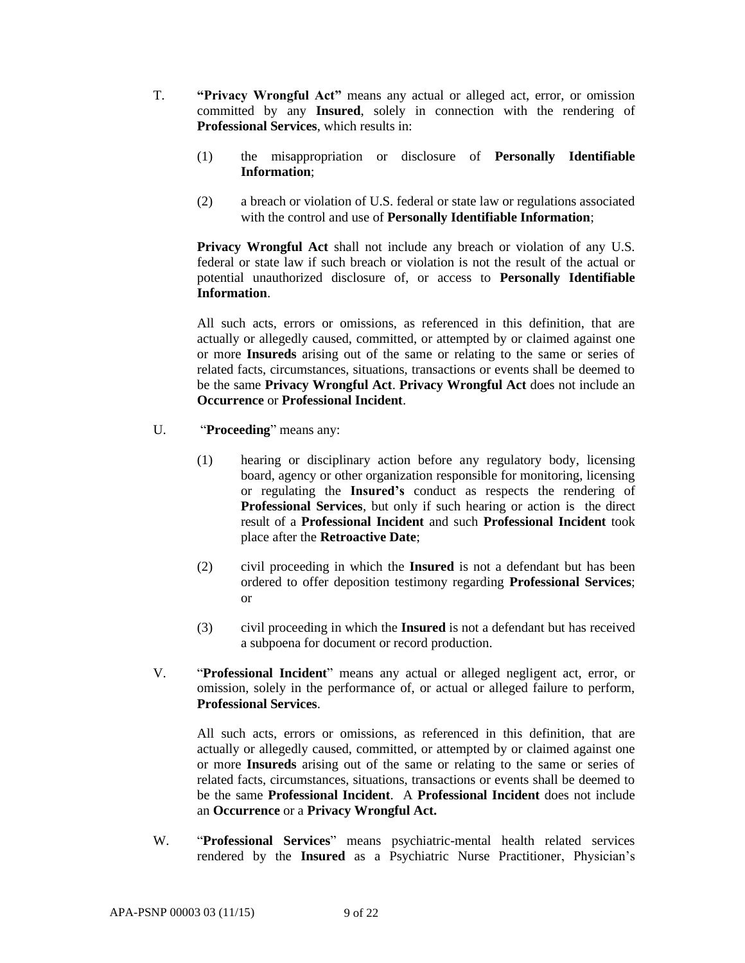- T. **"Privacy Wrongful Act"** means any actual or alleged act, error, or omission committed by any **Insured**, solely in connection with the rendering of **Professional Services**, which results in:
	- (1) the misappropriation or disclosure of **Personally Identifiable Information**;
	- (2) a breach or violation of U.S. federal or state law or regulations associated with the control and use of **Personally Identifiable Information**;

**Privacy Wrongful Act** shall not include any breach or violation of any U.S. federal or state law if such breach or violation is not the result of the actual or potential unauthorized disclosure of, or access to **Personally Identifiable Information**.

All such acts, errors or omissions, as referenced in this definition, that are actually or allegedly caused, committed, or attempted by or claimed against one or more **Insureds** arising out of the same or relating to the same or series of related facts, circumstances, situations, transactions or events shall be deemed to be the same **Privacy Wrongful Act**. **Privacy Wrongful Act** does not include an **Occurrence** or **Professional Incident**.

- U. "**Proceeding**" means any:
	- (1) hearing or disciplinary action before any regulatory body, licensing board, agency or other organization responsible for monitoring, licensing or regulating the **Insured's** conduct as respects the rendering of **Professional Services**, but only if such hearing or action is the direct result of a **Professional Incident** and such **Professional Incident** took place after the **Retroactive Date**;
	- (2) civil proceeding in which the **Insured** is not a defendant but has been ordered to offer deposition testimony regarding **Professional Services**; or
	- (3) civil proceeding in which the **Insured** is not a defendant but has received a subpoena for document or record production.
- V. "**Professional Incident**" means any actual or alleged negligent act, error, or omission, solely in the performance of, or actual or alleged failure to perform, **Professional Services**.

All such acts, errors or omissions, as referenced in this definition, that are actually or allegedly caused, committed, or attempted by or claimed against one or more **Insureds** arising out of the same or relating to the same or series of related facts, circumstances, situations, transactions or events shall be deemed to be the same **Professional Incident**. A **Professional Incident** does not include an **Occurrence** or a **Privacy Wrongful Act.**

W. "**Professional Services**" means psychiatric-mental health related services rendered by the **Insured** as a Psychiatric Nurse Practitioner, Physician's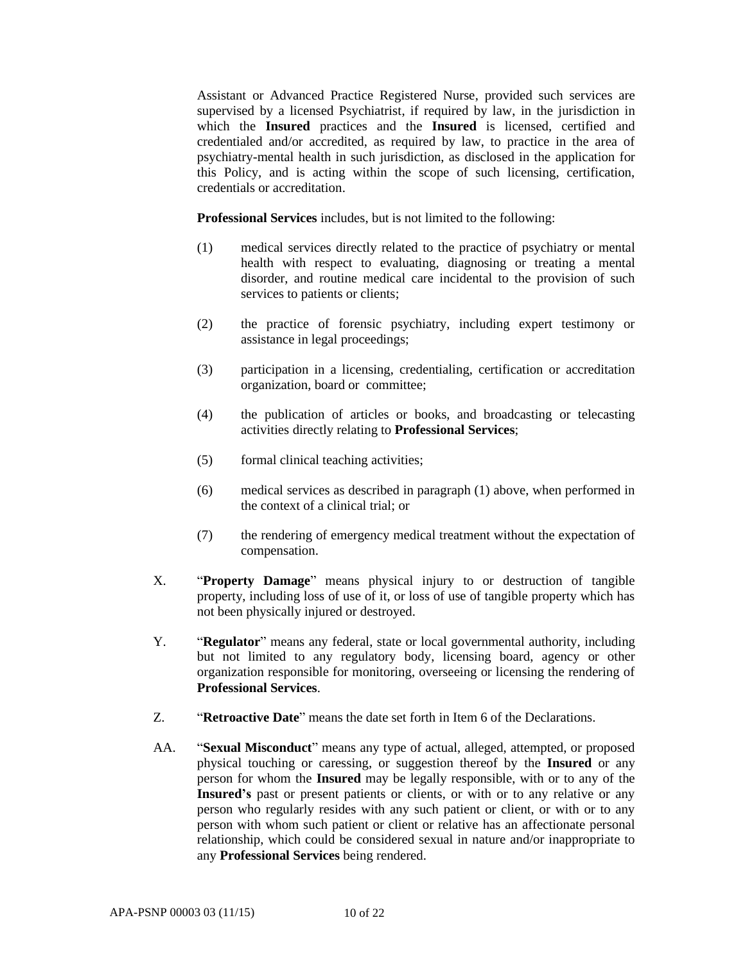Assistant or Advanced Practice Registered Nurse, provided such services are supervised by a licensed Psychiatrist, if required by law, in the jurisdiction in which the **Insured** practices and the **Insured** is licensed, certified and credentialed and/or accredited, as required by law, to practice in the area of psychiatry-mental health in such jurisdiction, as disclosed in the application for this Policy, and is acting within the scope of such licensing, certification, credentials or accreditation.

**Professional Services** includes, but is not limited to the following:

- (1) medical services directly related to the practice of psychiatry or mental health with respect to evaluating, diagnosing or treating a mental disorder, and routine medical care incidental to the provision of such services to patients or clients;
- (2) the practice of forensic psychiatry, including expert testimony or assistance in legal proceedings;
- (3) participation in a licensing, credentialing, certification or accreditation organization, board or committee;
- (4) the publication of articles or books, and broadcasting or telecasting activities directly relating to **Professional Services**;
- (5) formal clinical teaching activities;
- (6) medical services as described in paragraph (1) above, when performed in the context of a clinical trial; or
- (7) the rendering of emergency medical treatment without the expectation of compensation.
- X. "**Property Damage**" means physical injury to or destruction of tangible property, including loss of use of it, or loss of use of tangible property which has not been physically injured or destroyed.
- Y. "**Regulator**" means any federal, state or local governmental authority, including but not limited to any regulatory body, licensing board, agency or other organization responsible for monitoring, overseeing or licensing the rendering of **Professional Services**.
- Z. "**Retroactive Date**" means the date set forth in Item 6 of the Declarations.
- AA. "**Sexual Misconduct**" means any type of actual, alleged, attempted, or proposed physical touching or caressing, or suggestion thereof by the **Insured** or any person for whom the **Insured** may be legally responsible, with or to any of the **Insured's** past or present patients or clients, or with or to any relative or any person who regularly resides with any such patient or client, or with or to any person with whom such patient or client or relative has an affectionate personal relationship, which could be considered sexual in nature and/or inappropriate to any **Professional Services** being rendered.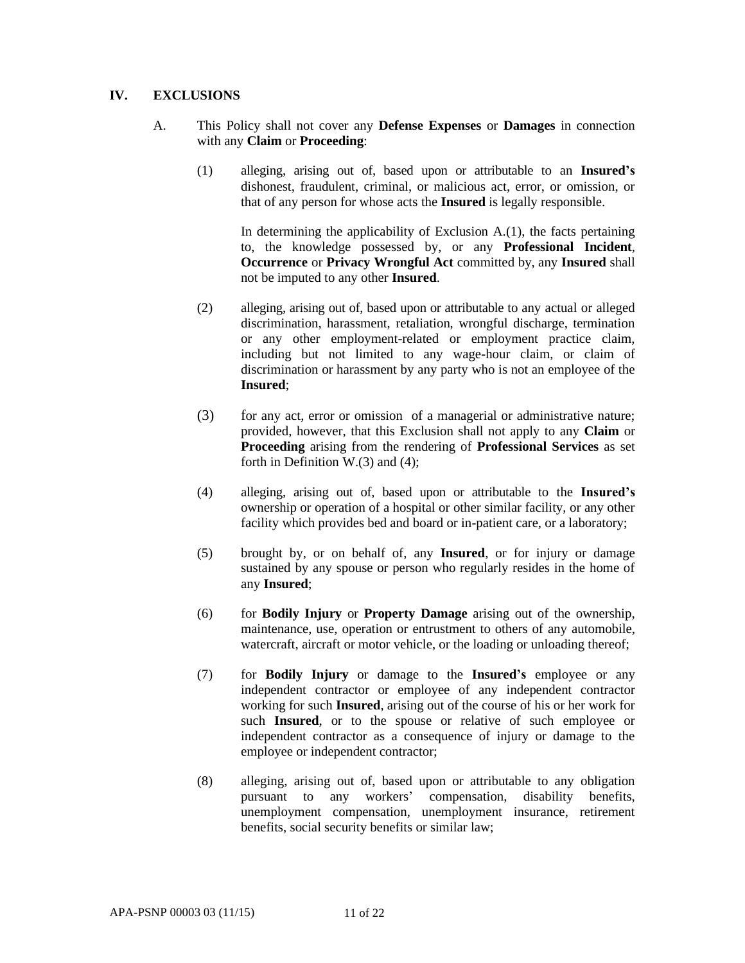## **IV. EXCLUSIONS**

- A. This Policy shall not cover any **Defense Expenses** or **Damages** in connection with any **Claim** or **Proceeding**:
	- (1) alleging, arising out of, based upon or attributable to an **Insured's** dishonest, fraudulent, criminal, or malicious act, error, or omission, or that of any person for whose acts the **Insured** is legally responsible.

In determining the applicability of Exclusion  $A(1)$ , the facts pertaining to, the knowledge possessed by, or any **Professional Incident**, **Occurrence** or **Privacy Wrongful Act** committed by, any **Insured** shall not be imputed to any other **Insured**.

- (2) alleging, arising out of, based upon or attributable to any actual or alleged discrimination, harassment, retaliation, wrongful discharge, termination or any other employment-related or employment practice claim, including but not limited to any wage-hour claim, or claim of discrimination or harassment by any party who is not an employee of the **Insured**;
- (3) for any act, error or omission of a managerial or administrative nature; provided, however, that this Exclusion shall not apply to any **Claim** or **Proceeding** arising from the rendering of **Professional Services** as set forth in Definition W.(3) and (4);
- (4) alleging, arising out of, based upon or attributable to the **Insured's** ownership or operation of a hospital or other similar facility, or any other facility which provides bed and board or in-patient care, or a laboratory;
- (5) brought by, or on behalf of, any **Insured**, or for injury or damage sustained by any spouse or person who regularly resides in the home of any **Insured**;
- (6) for **Bodily Injury** or **Property Damage** arising out of the ownership, maintenance, use, operation or entrustment to others of any automobile, watercraft, aircraft or motor vehicle, or the loading or unloading thereof;
- (7) for **Bodily Injury** or damage to the **Insured's** employee or any independent contractor or employee of any independent contractor working for such **Insured**, arising out of the course of his or her work for such Insured, or to the spouse or relative of such employee or independent contractor as a consequence of injury or damage to the employee or independent contractor;
- (8) alleging, arising out of, based upon or attributable to any obligation pursuant to any workers' compensation, disability benefits, unemployment compensation, unemployment insurance, retirement benefits, social security benefits or similar law;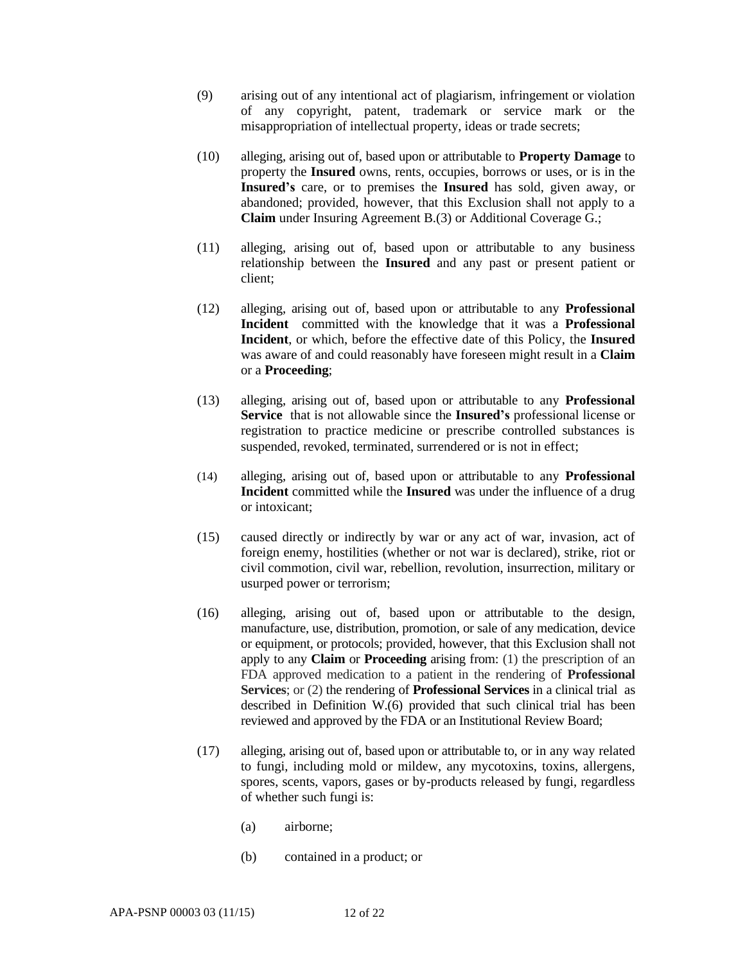- (9) arising out of any intentional act of plagiarism, infringement or violation of any copyright, patent, trademark or service mark or the misappropriation of intellectual property, ideas or trade secrets;
- (10) alleging, arising out of, based upon or attributable to **Property Damage** to property the **Insured** owns, rents, occupies, borrows or uses, or is in the **Insured's** care, or to premises the **Insured** has sold, given away, or abandoned; provided, however, that this Exclusion shall not apply to a **Claim** under Insuring Agreement B.(3) or Additional Coverage G.;
- (11) alleging, arising out of, based upon or attributable to any business relationship between the **Insured** and any past or present patient or client;
- (12) alleging, arising out of, based upon or attributable to any **Professional Incident** committed with the knowledge that it was a **Professional Incident**, or which, before the effective date of this Policy, the **Insured** was aware of and could reasonably have foreseen might result in a **Claim** or a **Proceeding**;
- (13) alleging, arising out of, based upon or attributable to any **Professional Service** that is not allowable since the **Insured's** professional license or registration to practice medicine or prescribe controlled substances is suspended, revoked, terminated, surrendered or is not in effect;
- (14) alleging, arising out of, based upon or attributable to any **Professional Incident** committed while the **Insured** was under the influence of a drug or intoxicant;
- (15) caused directly or indirectly by war or any act of war, invasion, act of foreign enemy, hostilities (whether or not war is declared), strike, riot or civil commotion, civil war, rebellion, revolution, insurrection, military or usurped power or terrorism;
- (16) alleging, arising out of, based upon or attributable to the design, manufacture, use, distribution, promotion, or sale of any medication, device or equipment, or protocols; provided, however, that this Exclusion shall not apply to any **Claim** or **Proceeding** arising from: (1) the prescription of an FDA approved medication to a patient in the rendering of **Professional Services**; or (2) the rendering of **Professional Services** in a clinical trial as described in Definition W.(6) provided that such clinical trial has been reviewed and approved by the FDA or an Institutional Review Board;
- (17) alleging, arising out of, based upon or attributable to, or in any way related to fungi, including mold or mildew, any mycotoxins, toxins, allergens, spores, scents, vapors, gases or by-products released by fungi, regardless of whether such fungi is:
	- (a) airborne;
	- (b) contained in a product; or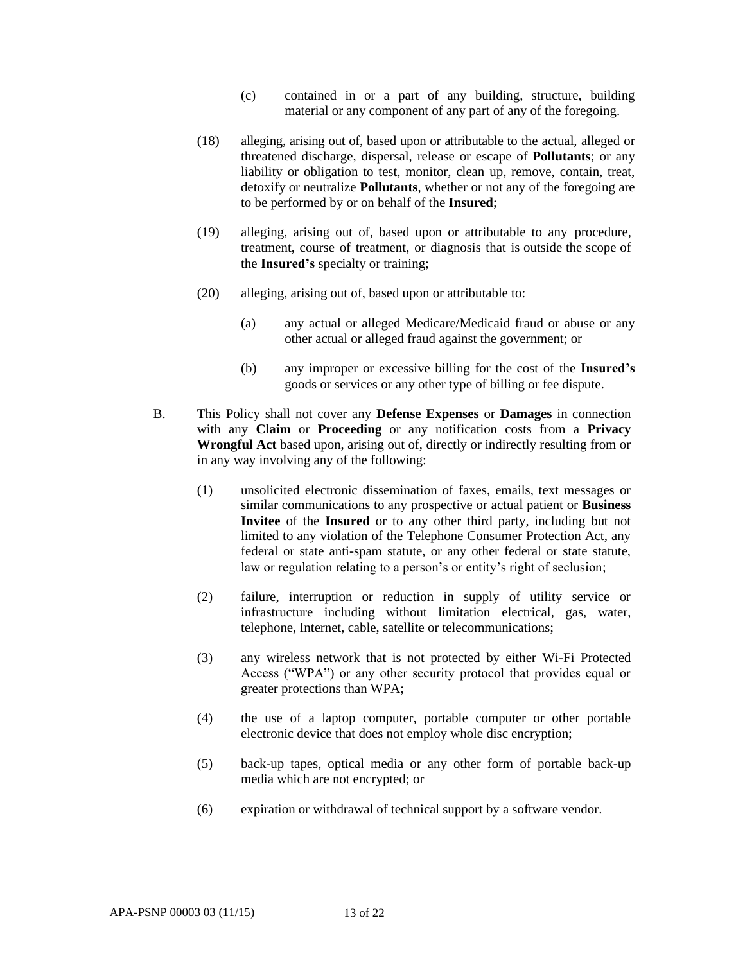- (c) contained in or a part of any building, structure, building material or any component of any part of any of the foregoing.
- (18) alleging, arising out of, based upon or attributable to the actual, alleged or threatened discharge, dispersal, release or escape of **Pollutants**; or any liability or obligation to test, monitor, clean up, remove, contain, treat, detoxify or neutralize **Pollutants**, whether or not any of the foregoing are to be performed by or on behalf of the **Insured**;
- (19) alleging, arising out of, based upon or attributable to any procedure, treatment, course of treatment, or diagnosis that is outside the scope of the **Insured's** specialty or training;
- (20) alleging, arising out of, based upon or attributable to:
	- (a) any actual or alleged Medicare/Medicaid fraud or abuse or any other actual or alleged fraud against the government; or
	- (b) any improper or excessive billing for the cost of the **Insured's** goods or services or any other type of billing or fee dispute.
- B. This Policy shall not cover any **Defense Expenses** or **Damages** in connection with any **Claim** or **Proceeding** or any notification costs from a **Privacy Wrongful Act** based upon, arising out of, directly or indirectly resulting from or in any way involving any of the following:
	- (1) unsolicited electronic dissemination of faxes, emails, text messages or similar communications to any prospective or actual patient or **Business Invitee** of the **Insured** or to any other third party, including but not limited to any violation of the Telephone Consumer Protection Act, any federal or state anti-spam statute, or any other federal or state statute, law or regulation relating to a person's or entity's right of seclusion;
	- (2) failure, interruption or reduction in supply of utility service or infrastructure including without limitation electrical, gas, water, telephone, Internet, cable, satellite or telecommunications;
	- (3) any wireless network that is not protected by either Wi-Fi Protected Access ("WPA") or any other security protocol that provides equal or greater protections than WPA;
	- (4) the use of a laptop computer, portable computer or other portable electronic device that does not employ whole disc encryption;
	- (5) back-up tapes, optical media or any other form of portable back-up media which are not encrypted; or
	- (6) expiration or withdrawal of technical support by a software vendor.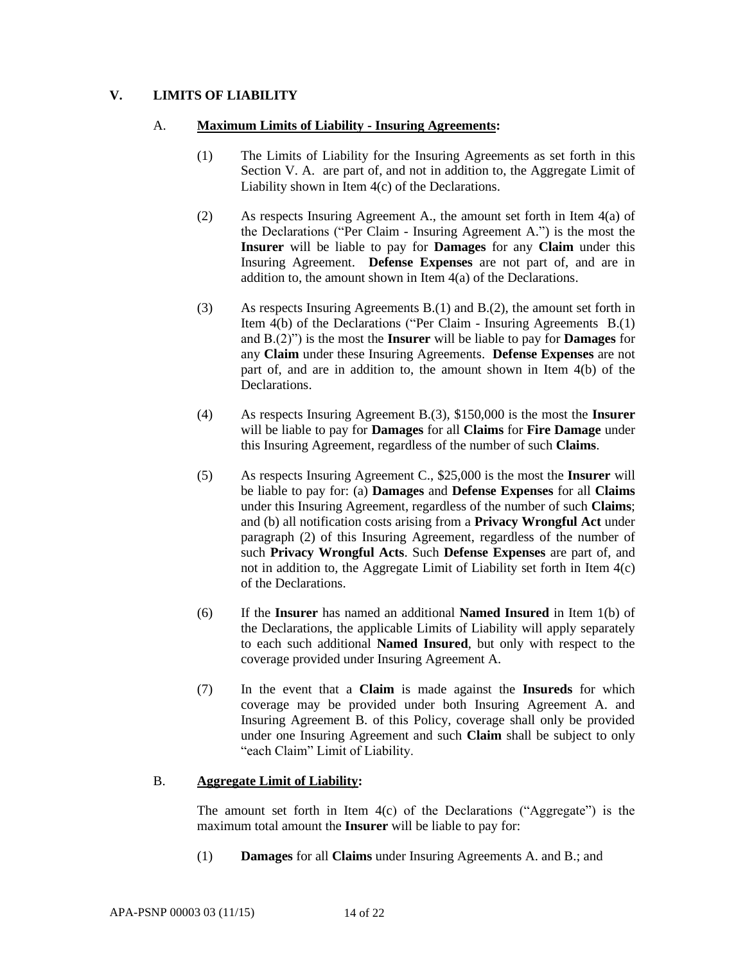## **V. LIMITS OF LIABILITY**

### A. **Maximum Limits of Liability - Insuring Agreements:**

- (1) The Limits of Liability for the Insuring Agreements as set forth in this Section V. A. are part of, and not in addition to, the Aggregate Limit of Liability shown in Item 4(c) of the Declarations.
- (2) As respects Insuring Agreement A., the amount set forth in Item 4(a) of the Declarations ("Per Claim - Insuring Agreement A.") is the most the **Insurer** will be liable to pay for **Damages** for any **Claim** under this Insuring Agreement. **Defense Expenses** are not part of, and are in addition to, the amount shown in Item 4(a) of the Declarations.
- (3) As respects Insuring Agreements B.(1) and B.(2), the amount set forth in Item 4(b) of the Declarations ("Per Claim - Insuring Agreements B.(1) and B.(2)") is the most the **Insurer** will be liable to pay for **Damages** for any **Claim** under these Insuring Agreements. **Defense Expenses** are not part of, and are in addition to, the amount shown in Item 4(b) of the Declarations.
- (4) As respects Insuring Agreement B.(3), \$150,000 is the most the **Insurer** will be liable to pay for **Damages** for all **Claims** for **Fire Damage** under this Insuring Agreement, regardless of the number of such **Claims**.
- (5) As respects Insuring Agreement C., \$25,000 is the most the **Insurer** will be liable to pay for: (a) **Damages** and **Defense Expenses** for all **Claims**  under this Insuring Agreement, regardless of the number of such **Claims**; and (b) all notification costs arising from a **Privacy Wrongful Act** under paragraph (2) of this Insuring Agreement, regardless of the number of such **Privacy Wrongful Acts**. Such **Defense Expenses** are part of, and not in addition to, the Aggregate Limit of Liability set forth in Item 4(c) of the Declarations.
- (6) If the **Insurer** has named an additional **Named Insured** in Item 1(b) of the Declarations, the applicable Limits of Liability will apply separately to each such additional **Named Insured**, but only with respect to the coverage provided under Insuring Agreement A.
- (7) In the event that a **Claim** is made against the **Insureds** for which coverage may be provided under both Insuring Agreement A. and Insuring Agreement B. of this Policy, coverage shall only be provided under one Insuring Agreement and such **Claim** shall be subject to only "each Claim" Limit of Liability.

## B. **Aggregate Limit of Liability:**

The amount set forth in Item  $4(c)$  of the Declarations ("Aggregate") is the maximum total amount the **Insurer** will be liable to pay for:

(1) **Damages** for all **Claims** under Insuring Agreements A. and B.; and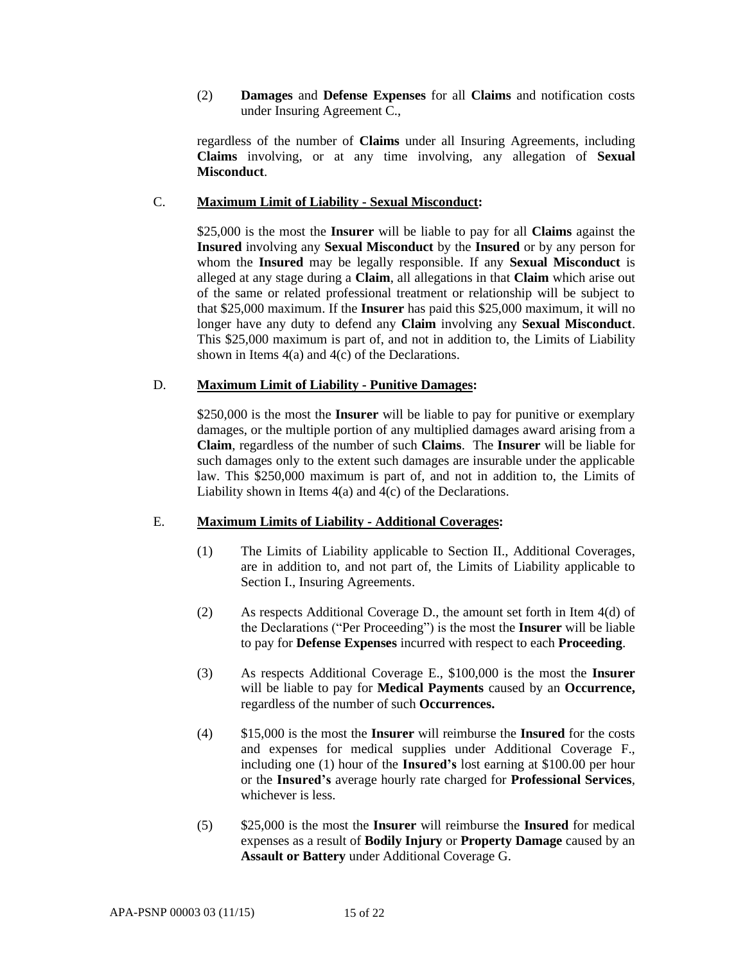(2) **Damages** and **Defense Expenses** for all **Claims** and notification costs under Insuring Agreement C.,

regardless of the number of **Claims** under all Insuring Agreements, including **Claims** involving, or at any time involving, any allegation of **Sexual Misconduct**.

### C. **Maximum Limit of Liability - Sexual Misconduct:**

\$25,000 is the most the **Insurer** will be liable to pay for all **Claims** against the **Insured** involving any **Sexual Misconduct** by the **Insured** or by any person for whom the **Insured** may be legally responsible. If any **Sexual Misconduct** is alleged at any stage during a **Claim**, all allegations in that **Claim** which arise out of the same or related professional treatment or relationship will be subject to that \$25,000 maximum. If the **Insurer** has paid this \$25,000 maximum, it will no longer have any duty to defend any **Claim** involving any **Sexual Misconduct**. This \$25,000 maximum is part of, and not in addition to, the Limits of Liability shown in Items 4(a) and 4(c) of the Declarations.

#### D. **Maximum Limit of Liability - Punitive Damages:**

\$250,000 is the most the **Insurer** will be liable to pay for punitive or exemplary damages, or the multiple portion of any multiplied damages award arising from a **Claim**, regardless of the number of such **Claims**. The **Insurer** will be liable for such damages only to the extent such damages are insurable under the applicable law. This \$250,000 maximum is part of, and not in addition to, the Limits of Liability shown in Items 4(a) and 4(c) of the Declarations.

## E. **Maximum Limits of Liability - Additional Coverages:**

- (1) The Limits of Liability applicable to Section II., Additional Coverages, are in addition to, and not part of, the Limits of Liability applicable to Section I., Insuring Agreements.
- (2) As respects Additional Coverage D., the amount set forth in Item  $4(d)$  of the Declarations ("Per Proceeding") is the most the **Insurer** will be liable to pay for **Defense Expenses** incurred with respect to each **Proceeding**.
- (3) As respects Additional Coverage E., \$100,000 is the most the **Insurer** will be liable to pay for **Medical Payments** caused by an **Occurrence,**  regardless of the number of such **Occurrences.**
- (4) \$15,000 is the most the **Insurer** will reimburse the **Insured** for the costs and expenses for medical supplies under Additional Coverage F., including one (1) hour of the **Insured's** lost earning at \$100.00 per hour or the **Insured's** average hourly rate charged for **Professional Services**, whichever is less.
- (5) \$25,000 is the most the **Insurer** will reimburse the **Insured** for medical expenses as a result of **Bodily Injury** or **Property Damage** caused by an **Assault or Battery** under Additional Coverage G.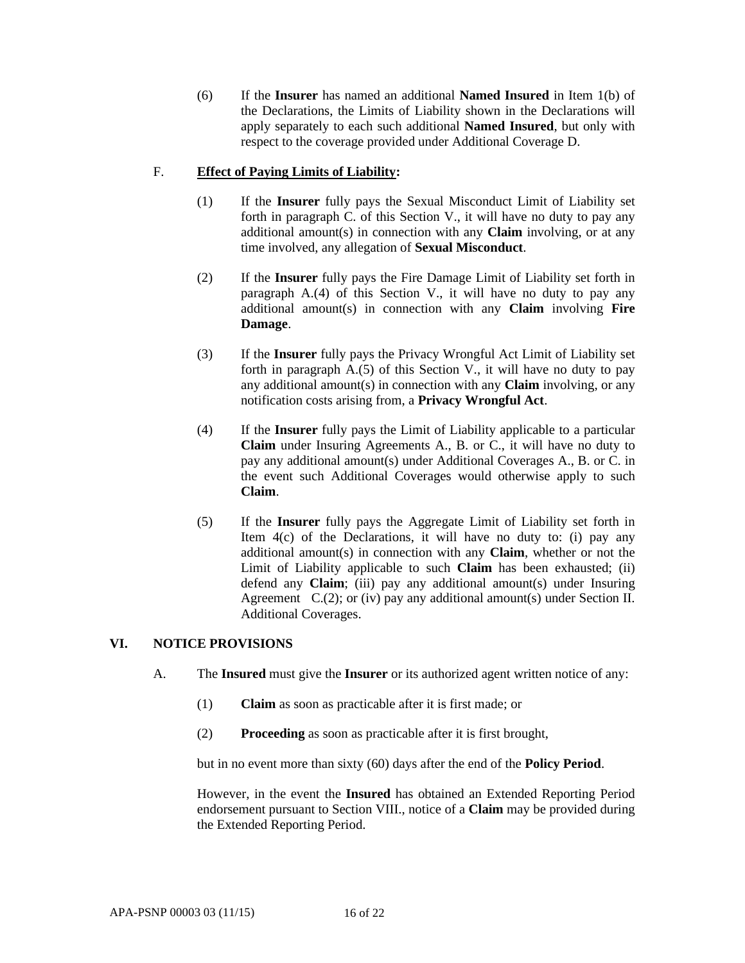(6) If the **Insurer** has named an additional **Named Insured** in Item 1(b) of the Declarations, the Limits of Liability shown in the Declarations will apply separately to each such additional **Named Insured**, but only with respect to the coverage provided under Additional Coverage D.

## F. **Effect of Paying Limits of Liability:**

- (1) If the **Insurer** fully pays the Sexual Misconduct Limit of Liability set forth in paragraph C. of this Section V., it will have no duty to pay any additional amount(s) in connection with any **Claim** involving, or at any time involved, any allegation of **Sexual Misconduct**.
- (2) If the **Insurer** fully pays the Fire Damage Limit of Liability set forth in paragraph A.(4) of this Section V., it will have no duty to pay any additional amount(s) in connection with any **Claim** involving **Fire Damage**.
- (3) If the **Insurer** fully pays the Privacy Wrongful Act Limit of Liability set forth in paragraph  $A(5)$  of this Section V., it will have no duty to pay any additional amount(s) in connection with any **Claim** involving, or any notification costs arising from, a **Privacy Wrongful Act**.
- (4) If the **Insurer** fully pays the Limit of Liability applicable to a particular **Claim** under Insuring Agreements A., B. or C., it will have no duty to pay any additional amount(s) under Additional Coverages A., B. or C. in the event such Additional Coverages would otherwise apply to such **Claim**.
- (5) If the **Insurer** fully pays the Aggregate Limit of Liability set forth in Item 4(c) of the Declarations, it will have no duty to: (i) pay any additional amount(s) in connection with any **Claim**, whether or not the Limit of Liability applicable to such **Claim** has been exhausted; (ii) defend any **Claim**; (iii) pay any additional amount(s) under Insuring Agreement  $C.(2)$ ; or (iv) pay any additional amount(s) under Section II. Additional Coverages.

## **VI. NOTICE PROVISIONS**

- A. The **Insured** must give the **Insurer** or its authorized agent written notice of any:
	- (1) **Claim** as soon as practicable after it is first made; or
	- (2) **Proceeding** as soon as practicable after it is first brought,

but in no event more than sixty (60) days after the end of the **Policy Period**.

However, in the event the **Insured** has obtained an Extended Reporting Period endorsement pursuant to Section VIII., notice of a **Claim** may be provided during the Extended Reporting Period.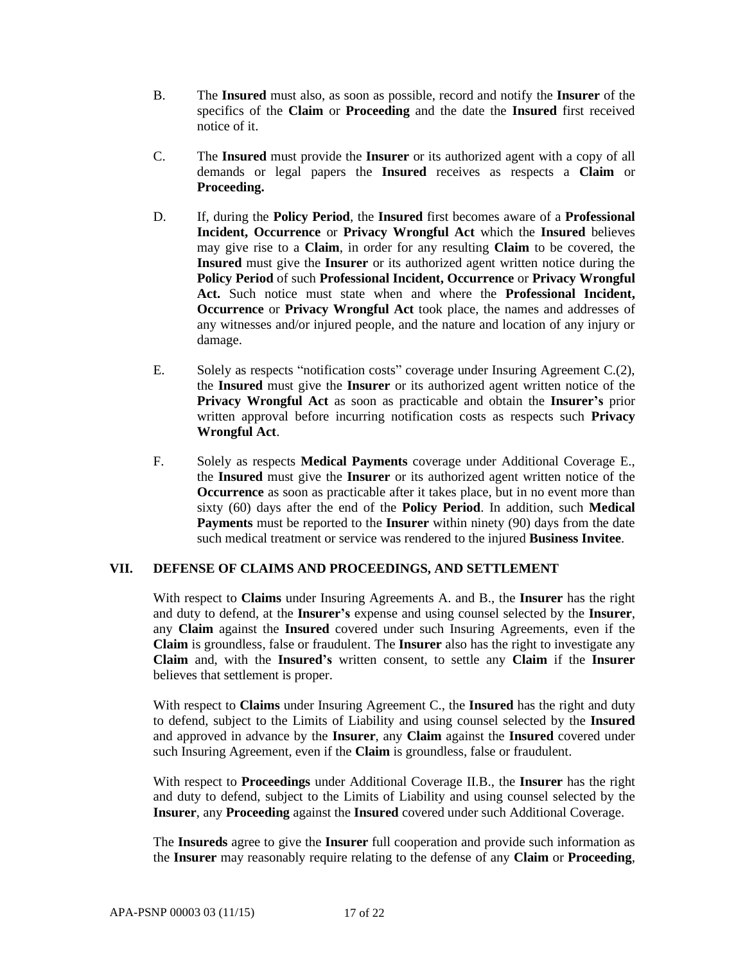- B. The **Insured** must also, as soon as possible, record and notify the **Insurer** of the specifics of the **Claim** or **Proceeding** and the date the **Insured** first received notice of it.
- C. The **Insured** must provide the **Insurer** or its authorized agent with a copy of all demands or legal papers the **Insured** receives as respects a **Claim** or **Proceeding.**
- D. If, during the **Policy Period**, the **Insured** first becomes aware of a **Professional Incident, Occurrence** or **Privacy Wrongful Act** which the **Insured** believes may give rise to a **Claim**, in order for any resulting **Claim** to be covered, the **Insured** must give the **Insurer** or its authorized agent written notice during the **Policy Period** of such **Professional Incident, Occurrence** or **Privacy Wrongful Act.** Such notice must state when and where the **Professional Incident, Occurrence** or **Privacy Wrongful Act** took place, the names and addresses of any witnesses and/or injured people, and the nature and location of any injury or damage.
- E. Solely as respects "notification costs" coverage under Insuring Agreement C.(2), the **Insured** must give the **Insurer** or its authorized agent written notice of the **Privacy Wrongful Act** as soon as practicable and obtain the **Insurer's** prior written approval before incurring notification costs as respects such **Privacy Wrongful Act**.
- F. Solely as respects **Medical Payments** coverage under Additional Coverage E., the **Insured** must give the **Insurer** or its authorized agent written notice of the **Occurrence** as soon as practicable after it takes place, but in no event more than sixty (60) days after the end of the **Policy Period**. In addition, such **Medical Payments** must be reported to the **Insurer** within ninety (90) days from the date such medical treatment or service was rendered to the injured **Business Invitee**.

## **VII. DEFENSE OF CLAIMS AND PROCEEDINGS, AND SETTLEMENT**

With respect to **Claims** under Insuring Agreements A. and B., the **Insurer** has the right and duty to defend, at the **Insurer's** expense and using counsel selected by the **Insurer**, any **Claim** against the **Insured** covered under such Insuring Agreements, even if the **Claim** is groundless, false or fraudulent. The **Insurer** also has the right to investigate any **Claim** and, with the **Insured's** written consent, to settle any **Claim** if the **Insurer** believes that settlement is proper.

With respect to **Claims** under Insuring Agreement C., the **Insured** has the right and duty to defend, subject to the Limits of Liability and using counsel selected by the **Insured** and approved in advance by the **Insurer**, any **Claim** against the **Insured** covered under such Insuring Agreement, even if the **Claim** is groundless, false or fraudulent.

With respect to **Proceedings** under Additional Coverage II.B., the **Insurer** has the right and duty to defend, subject to the Limits of Liability and using counsel selected by the **Insurer**, any **Proceeding** against the **Insured** covered under such Additional Coverage.

The **Insureds** agree to give the **Insurer** full cooperation and provide such information as the **Insurer** may reasonably require relating to the defense of any **Claim** or **Proceeding**,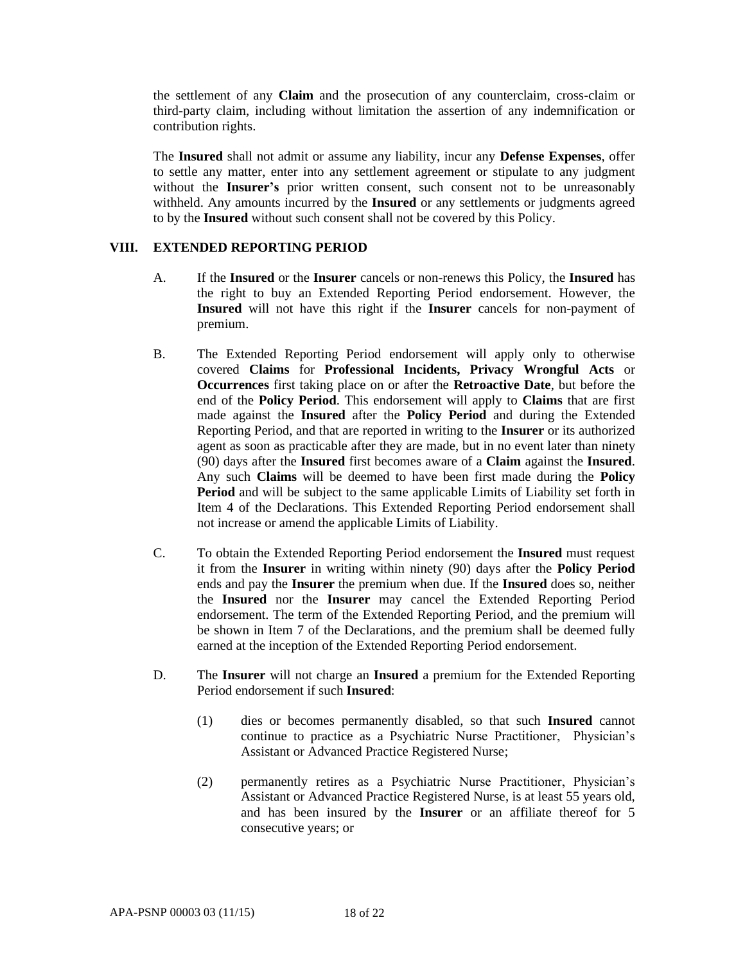the settlement of any **Claim** and the prosecution of any counterclaim, cross-claim or third-party claim, including without limitation the assertion of any indemnification or contribution rights.

The **Insured** shall not admit or assume any liability, incur any **Defense Expenses**, offer to settle any matter, enter into any settlement agreement or stipulate to any judgment without the **Insurer's** prior written consent, such consent not to be unreasonably withheld. Any amounts incurred by the **Insured** or any settlements or judgments agreed to by the **Insured** without such consent shall not be covered by this Policy.

### **VIII. EXTENDED REPORTING PERIOD**

- A. If the **Insured** or the **Insurer** cancels or non-renews this Policy, the **Insured** has the right to buy an Extended Reporting Period endorsement. However, the **Insured** will not have this right if the **Insurer** cancels for non-payment of premium.
- B. The Extended Reporting Period endorsement will apply only to otherwise covered **Claims** for **Professional Incidents, Privacy Wrongful Acts** or **Occurrences** first taking place on or after the **Retroactive Date**, but before the end of the **Policy Period**. This endorsement will apply to **Claims** that are first made against the **Insured** after the **Policy Period** and during the Extended Reporting Period, and that are reported in writing to the **Insurer** or its authorized agent as soon as practicable after they are made, but in no event later than ninety (90) days after the **Insured** first becomes aware of a **Claim** against the **Insured**. Any such **Claims** will be deemed to have been first made during the **Policy Period** and will be subject to the same applicable Limits of Liability set forth in Item 4 of the Declarations. This Extended Reporting Period endorsement shall not increase or amend the applicable Limits of Liability.
- C. To obtain the Extended Reporting Period endorsement the **Insured** must request it from the **Insurer** in writing within ninety (90) days after the **Policy Period** ends and pay the **Insurer** the premium when due. If the **Insured** does so, neither the **Insured** nor the **Insurer** may cancel the Extended Reporting Period endorsement. The term of the Extended Reporting Period, and the premium will be shown in Item 7 of the Declarations, and the premium shall be deemed fully earned at the inception of the Extended Reporting Period endorsement.
- D. The **Insurer** will not charge an **Insured** a premium for the Extended Reporting Period endorsement if such **Insured**:
	- (1) dies or becomes permanently disabled, so that such **Insured** cannot continue to practice as a Psychiatric Nurse Practitioner, Physician's Assistant or Advanced Practice Registered Nurse;
	- (2) permanently retires as a Psychiatric Nurse Practitioner, Physician's Assistant or Advanced Practice Registered Nurse, is at least 55 years old, and has been insured by the **Insurer** or an affiliate thereof for 5 consecutive years; or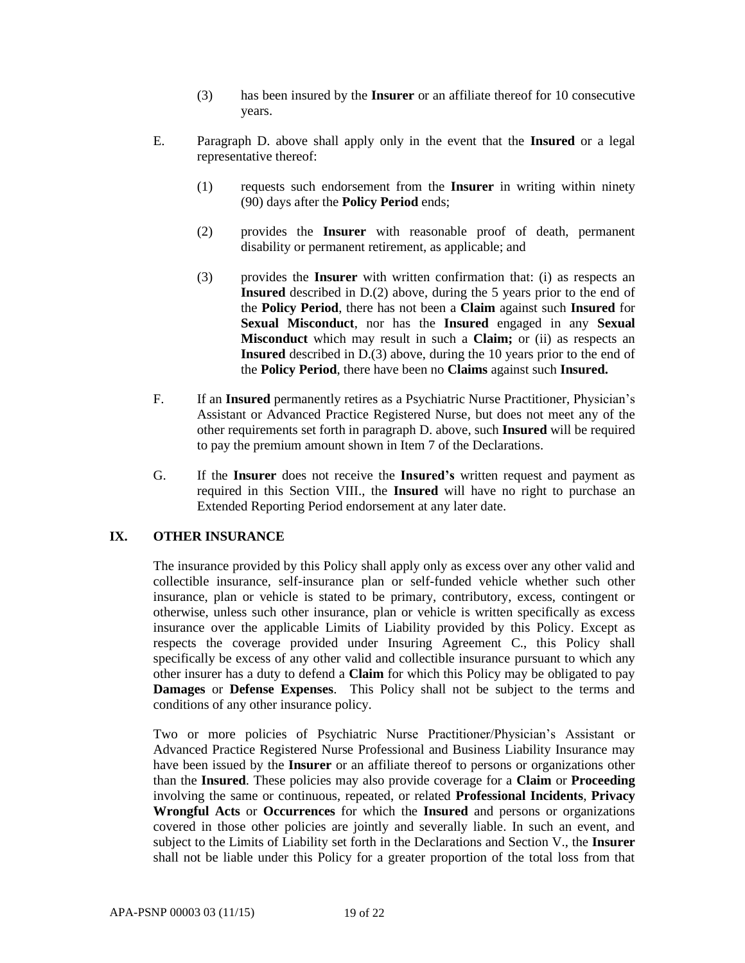- (3) has been insured by the **Insurer** or an affiliate thereof for 10 consecutive years.
- E. Paragraph D. above shall apply only in the event that the **Insured** or a legal representative thereof:
	- (1) requests such endorsement from the **Insurer** in writing within ninety (90) days after the **Policy Period** ends;
	- (2) provides the **Insurer** with reasonable proof of death, permanent disability or permanent retirement, as applicable; and
	- (3) provides the **Insurer** with written confirmation that: (i) as respects an **Insured** described in D.(2) above, during the 5 years prior to the end of the **Policy Period**, there has not been a **Claim** against such **Insured** for **Sexual Misconduct**, nor has the **Insured** engaged in any **Sexual Misconduct** which may result in such a **Claim;** or (ii) as respects an **Insured** described in D.(3) above, during the 10 years prior to the end of the **Policy Period**, there have been no **Claims** against such **Insured.**
- F. If an **Insured** permanently retires as a Psychiatric Nurse Practitioner, Physician's Assistant or Advanced Practice Registered Nurse, but does not meet any of the other requirements set forth in paragraph D. above, such **Insured** will be required to pay the premium amount shown in Item 7 of the Declarations.
- G. If the **Insurer** does not receive the **Insured's** written request and payment as required in this Section VIII., the **Insured** will have no right to purchase an Extended Reporting Period endorsement at any later date.

## **IX. OTHER INSURANCE**

The insurance provided by this Policy shall apply only as excess over any other valid and collectible insurance, self-insurance plan or self-funded vehicle whether such other insurance, plan or vehicle is stated to be primary, contributory, excess, contingent or otherwise, unless such other insurance, plan or vehicle is written specifically as excess insurance over the applicable Limits of Liability provided by this Policy. Except as respects the coverage provided under Insuring Agreement C., this Policy shall specifically be excess of any other valid and collectible insurance pursuant to which any other insurer has a duty to defend a **Claim** for which this Policy may be obligated to pay **Damages** or **Defense Expenses**. This Policy shall not be subject to the terms and conditions of any other insurance policy.

Two or more policies of Psychiatric Nurse Practitioner/Physician's Assistant or Advanced Practice Registered Nurse Professional and Business Liability Insurance may have been issued by the **Insurer** or an affiliate thereof to persons or organizations other than the **Insured**. These policies may also provide coverage for a **Claim** or **Proceeding** involving the same or continuous, repeated, or related **Professional Incidents**, **Privacy Wrongful Acts** or **Occurrences** for which the **Insured** and persons or organizations covered in those other policies are jointly and severally liable. In such an event, and subject to the Limits of Liability set forth in the Declarations and Section V., the **Insurer**  shall not be liable under this Policy for a greater proportion of the total loss from that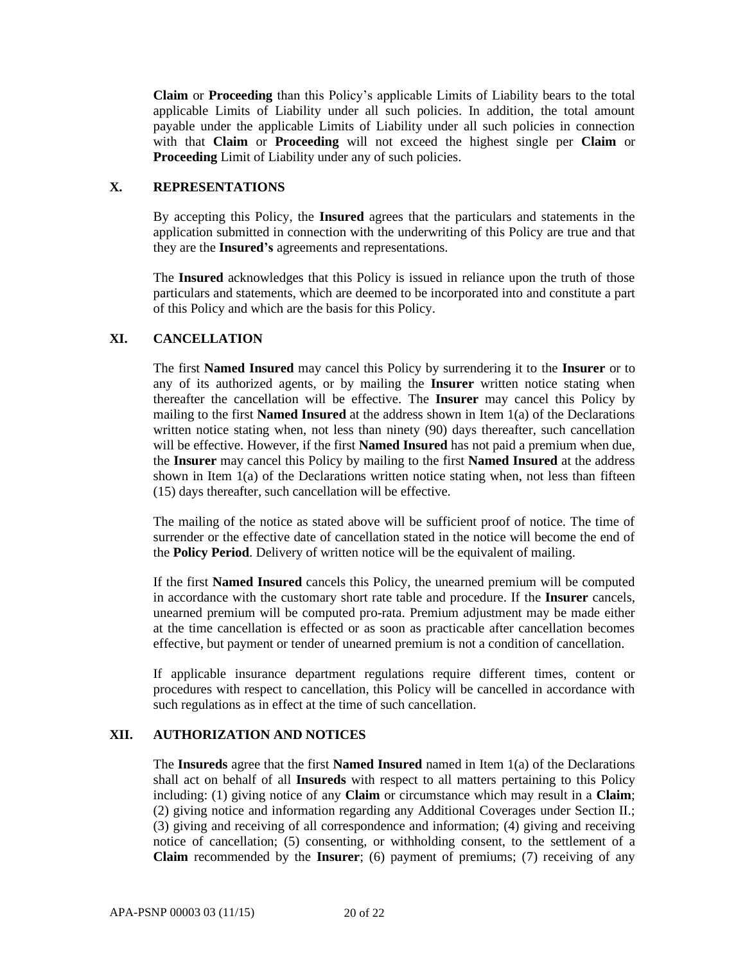**Claim** or **Proceeding** than this Policy's applicable Limits of Liability bears to the total applicable Limits of Liability under all such policies. In addition, the total amount payable under the applicable Limits of Liability under all such policies in connection with that **Claim** or **Proceeding** will not exceed the highest single per **Claim** or **Proceeding** Limit of Liability under any of such policies.

## **X. REPRESENTATIONS**

By accepting this Policy, the **Insured** agrees that the particulars and statements in the application submitted in connection with the underwriting of this Policy are true and that they are the **Insured's** agreements and representations.

The **Insured** acknowledges that this Policy is issued in reliance upon the truth of those particulars and statements, which are deemed to be incorporated into and constitute a part of this Policy and which are the basis for this Policy.

#### **XI. CANCELLATION**

The first **Named Insured** may cancel this Policy by surrendering it to the **Insurer** or to any of its authorized agents, or by mailing the **Insurer** written notice stating when thereafter the cancellation will be effective. The **Insurer** may cancel this Policy by mailing to the first **Named Insured** at the address shown in Item 1(a) of the Declarations written notice stating when, not less than ninety (90) days thereafter, such cancellation will be effective. However, if the first **Named Insured** has not paid a premium when due, the **Insurer** may cancel this Policy by mailing to the first **Named Insured** at the address shown in Item  $1(a)$  of the Declarations written notice stating when, not less than fifteen (15) days thereafter, such cancellation will be effective.

The mailing of the notice as stated above will be sufficient proof of notice. The time of surrender or the effective date of cancellation stated in the notice will become the end of the **Policy Period**. Delivery of written notice will be the equivalent of mailing.

If the first **Named Insured** cancels this Policy, the unearned premium will be computed in accordance with the customary short rate table and procedure. If the **Insurer** cancels, unearned premium will be computed pro-rata. Premium adjustment may be made either at the time cancellation is effected or as soon as practicable after cancellation becomes effective, but payment or tender of unearned premium is not a condition of cancellation.

If applicable insurance department regulations require different times, content or procedures with respect to cancellation, this Policy will be cancelled in accordance with such regulations as in effect at the time of such cancellation.

#### **XII. AUTHORIZATION AND NOTICES**

The **Insureds** agree that the first **Named Insured** named in Item 1(a) of the Declarations shall act on behalf of all **Insureds** with respect to all matters pertaining to this Policy including: (1) giving notice of any **Claim** or circumstance which may result in a **Claim**; (2) giving notice and information regarding any Additional Coverages under Section II.; (3) giving and receiving of all correspondence and information; (4) giving and receiving notice of cancellation; (5) consenting, or withholding consent, to the settlement of a **Claim** recommended by the **Insurer**; (6) payment of premiums; (7) receiving of any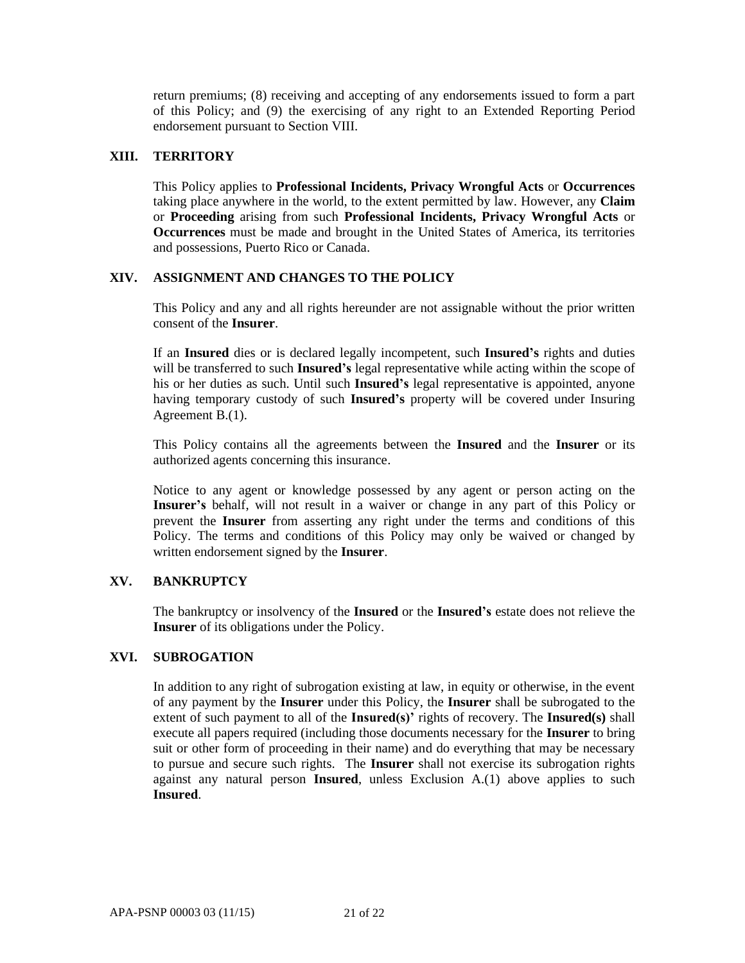return premiums; (8) receiving and accepting of any endorsements issued to form a part of this Policy; and (9) the exercising of any right to an Extended Reporting Period endorsement pursuant to Section VIII.

## **XIII. TERRITORY**

This Policy applies to **Professional Incidents, Privacy Wrongful Acts** or **Occurrences** taking place anywhere in the world, to the extent permitted by law. However, any **Claim**  or **Proceeding** arising from such **Professional Incidents, Privacy Wrongful Acts** or **Occurrences** must be made and brought in the United States of America, its territories and possessions, Puerto Rico or Canada.

## **XIV. ASSIGNMENT AND CHANGES TO THE POLICY**

This Policy and any and all rights hereunder are not assignable without the prior written consent of the **Insurer**.

If an **Insured** dies or is declared legally incompetent, such **Insured's** rights and duties will be transferred to such **Insured's** legal representative while acting within the scope of his or her duties as such. Until such **Insured's** legal representative is appointed, anyone having temporary custody of such **Insured's** property will be covered under Insuring Agreement B.(1).

This Policy contains all the agreements between the **Insured** and the **Insurer** or its authorized agents concerning this insurance.

Notice to any agent or knowledge possessed by any agent or person acting on the **Insurer's** behalf, will not result in a waiver or change in any part of this Policy or prevent the **Insurer** from asserting any right under the terms and conditions of this Policy. The terms and conditions of this Policy may only be waived or changed by written endorsement signed by the **Insurer**.

## **XV. BANKRUPTCY**

The bankruptcy or insolvency of the **Insured** or the **Insured's** estate does not relieve the **Insurer** of its obligations under the Policy.

## **XVI. SUBROGATION**

In addition to any right of subrogation existing at law, in equity or otherwise, in the event of any payment by the **Insurer** under this Policy, the **Insurer** shall be subrogated to the extent of such payment to all of the **Insured(s)'** rights of recovery. The **Insured(s)** shall execute all papers required (including those documents necessary for the **Insurer** to bring suit or other form of proceeding in their name) and do everything that may be necessary to pursue and secure such rights. The **Insurer** shall not exercise its subrogation rights against any natural person **Insured**, unless Exclusion A.(1) above applies to such **Insured**.